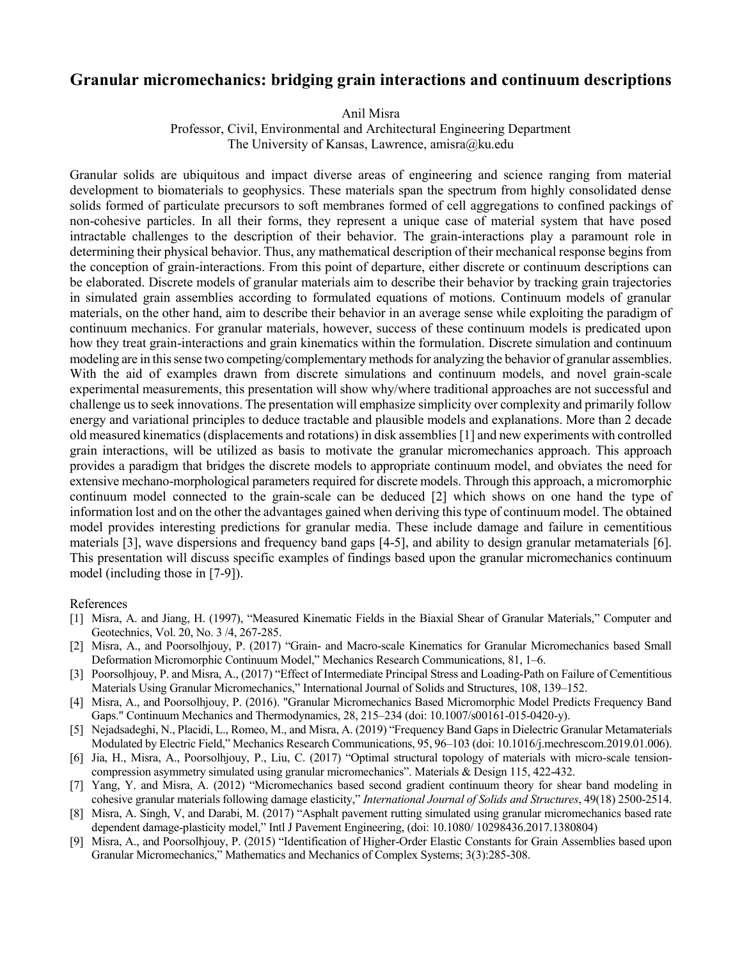## **Granular micromechanics: bridging grain interactions and continuum descriptions**

Anil Misra

Professor, Civil, Environmental and Architectural Engineering Department The University of Kansas, Lawrence, amisra@ku.edu

Granular solids are ubiquitous and impact diverse areas of engineering and science ranging from material development to biomaterials to geophysics. These materials span the spectrum from highly consolidated dense solids formed of particulate precursors to soft membranes formed of cell aggregations to confined packings of non-cohesive particles. In all their forms, they represent a unique case of material system that have posed intractable challenges to the description of their behavior. The grain-interactions play a paramount role in determining their physical behavior. Thus, any mathematical description of their mechanical response begins from the conception of grain-interactions. From this point of departure, either discrete or continuum descriptions can be elaborated. Discrete models of granular materials aim to describe their behavior by tracking grain trajectories in simulated grain assemblies according to formulated equations of motions. Continuum models of granular materials, on the other hand, aim to describe their behavior in an average sense while exploiting the paradigm of continuum mechanics. For granular materials, however, success of these continuum models is predicated upon how they treat grain-interactions and grain kinematics within the formulation. Discrete simulation and continuum modeling are in this sense two competing/complementary methods for analyzing the behavior of granular assemblies. With the aid of examples drawn from discrete simulations and continuum models, and novel grain-scale experimental measurements, this presentation will show why/where traditional approaches are not successful and challenge us to seek innovations. The presentation will emphasize simplicity over complexity and primarily follow energy and variational principles to deduce tractable and plausible models and explanations. More than 2 decade old measured kinematics (displacements and rotations) in disk assemblies[1] and new experiments with controlled grain interactions, will be utilized as basis to motivate the granular micromechanics approach. This approach provides a paradigm that bridges the discrete models to appropriate continuum model, and obviates the need for extensive mechano-morphological parameters required for discrete models. Through this approach, a micromorphic continuum model connected to the grain-scale can be deduced [2] which shows on one hand the type of information lost and on the other the advantages gained when deriving this type of continuum model. The obtained model provides interesting predictions for granular media. These include damage and failure in cementitious materials [3], wave dispersions and frequency band gaps [4-5], and ability to design granular metamaterials [6]. This presentation will discuss specific examples of findings based upon the granular micromechanics continuum model (including those in [7-9]).

## References

- [1] Misra, A. and Jiang, H. (1997), "Measured Kinematic Fields in the Biaxial Shear of Granular Materials," Computer and Geotechnics, Vol. 20, No. 3 /4, 267-285.
- [2] Misra, A., and Poorsolhjouy, P. (2017) "Grain- and Macro-scale Kinematics for Granular Micromechanics based Small Deformation Micromorphic Continuum Model," Mechanics Research Communications, 81, 1–6.
- [3] Poorsolhjouy, P. and Misra, A., (2017) "Effect of Intermediate Principal Stress and Loading-Path on Failure of Cementitious Materials Using Granular Micromechanics," International Journal of Solids and Structures, 108, 139–152.
- [4] Misra, A., and Poorsolhjouy, P. (2016). "Granular Micromechanics Based Micromorphic Model Predicts Frequency Band Gaps." Continuum Mechanics and Thermodynamics, 28, 215–234 (doi: 10.1007/s00161-015-0420-y).
- [5] Nejadsadeghi, N., Placidi, L., Romeo, M., and Misra, A. (2019) "Frequency Band Gaps in Dielectric Granular Metamaterials Modulated by Electric Field," Mechanics Research Communications, 95, 96–103 (doi: 10.1016/j.mechrescom.2019.01.006).
- [6] Jia, H., Misra, A., Poorsolhjouy, P., Liu, C. (2017) "Optimal structural topology of materials with micro-scale tensioncompression asymmetry simulated using granular micromechanics". Materials & Design 115, 422-432.
- [7] Yang, Y. and Misra, A. (2012) "Micromechanics based second gradient continuum theory for shear band modeling in cohesive granular materials following damage elasticity," *International Journal of Solids and Structures*, 49(18) 2500-2514.
- [8] Misra, A. Singh, V, and Darabi, M. (2017) "Asphalt pavement rutting simulated using granular micromechanics based rate dependent damage-plasticity model," Intl J Pavement Engineering, (doi: 10.1080/ 10298436.2017.1380804)
- [9] Misra, A., and Poorsolhjouy, P. (2015) "Identification of Higher-Order Elastic Constants for Grain Assemblies based upon Granular Micromechanics," Mathematics and Mechanics of Complex Systems; 3(3):285-308.